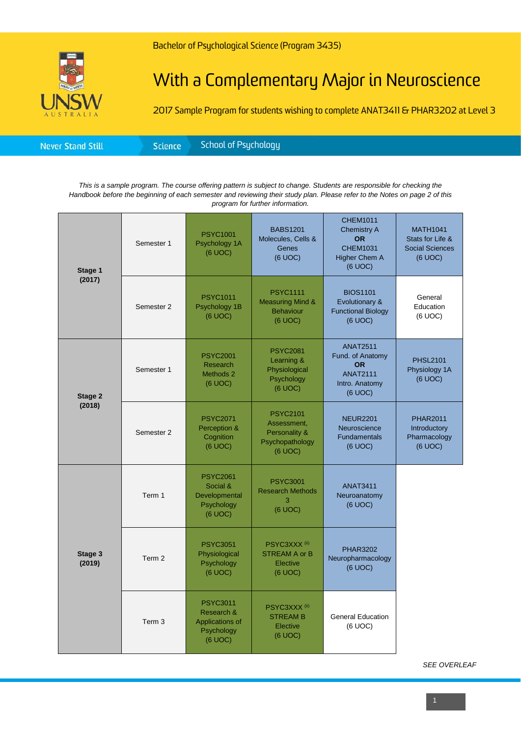## With a Complementary Major in Neuroscience

2017 Sample Program for students wishing to complete ANAT3411 & PHAR3202 at Level 3

| School of Psychology <b>\</b> |
|-------------------------------|
|-------------------------------|

*This is a sample program. The course offering pattern is subject to change. Students are responsible for checking the Handbook before the beginning of each semester and reviewing their study plan. Please refer to the Notes on page 2 of this program for further information.*

| Stage 1<br>(2017) | Semester 1        | <b>PSYC1001</b><br>Psychology 1A<br>(6 UOC)                               | <b>BABS1201</b><br>Molecules, Cells &<br><b>Genes</b><br>(6 UOC)              | <b>CHEM1011</b><br><b>Chemistry A</b><br><b>OR</b><br><b>CHEM1031</b><br><b>Higher Chem A</b><br>(6 UOC) | <b>MATH1041</b><br>Stats for Life &<br><b>Social Sciences</b><br>(6 UOC) |
|-------------------|-------------------|---------------------------------------------------------------------------|-------------------------------------------------------------------------------|----------------------------------------------------------------------------------------------------------|--------------------------------------------------------------------------|
|                   | Semester 2        | <b>PSYC1011</b><br>Psychology 1B<br>(6 UOC)                               | <b>PSYC1111</b><br><b>Measuring Mind &amp;</b><br><b>Behaviour</b><br>(6 UOC) | <b>BIOS1101</b><br>Evolutionary &<br><b>Functional Biology</b><br>(6 UOC)                                | General<br>Education<br>(6 UOC)                                          |
| Stage 2<br>(2018) | Semester 1        | <b>PSYC2001</b><br>Research<br>Methods 2<br>(6 UOC)                       | <b>PSYC2081</b><br>Learning &<br>Physiological<br>Psychology<br>(6 UOC)       | <b>ANAT2511</b><br>Fund. of Anatomy<br><b>OR</b><br><b>ANAT2111</b><br>Intro. Anatomy<br>$(6$ UOC $)$    | <b>PHSL2101</b><br>Physiology 1A<br>(6 UOC)                              |
|                   | Semester 2        | <b>PSYC2071</b><br>Perception &<br>Cognition<br>(6 UOC)                   | <b>PSYC2101</b><br>Assessment,<br>Personality &<br>Psychopathology<br>(6 UOC) | <b>NEUR2201</b><br>Neuroscience<br><b>Fundamentals</b><br>(6 UOC)                                        | <b>PHAR2011</b><br>Introductory<br>Pharmacology<br>(6 UOC)               |
| Stage 3<br>(2019) | Term 1            | <b>PSYC2061</b><br>Social &<br>Developmental<br>Psychology<br>(6 UOC)     | <b>PSYC3001</b><br><b>Research Methods</b><br>3<br>(6 UOC)                    | <b>ANAT3411</b><br>Neuroanatomy<br>(6 UOC)                                                               |                                                                          |
|                   | Term 2            | <b>PSYC3051</b><br>Physiological<br>Psychology<br>(6 UOC)                 | PSYC3XXX <sup>(ii)</sup><br><b>STREAM A or B</b><br>Elective<br>(6 UOC)       | <b>PHAR3202</b><br>Neuropharmacology<br>(6 UOC)                                                          |                                                                          |
|                   | Term <sub>3</sub> | <b>PSYC3011</b><br>Research &<br>Applications of<br>Psychology<br>(6 UOC) | PSYC3XXX <sup>(ii)</sup><br><b>STREAM B</b><br>Elective<br>(6 UOC)            | <b>General Education</b><br>(6 UOC)                                                                      |                                                                          |

*SEE OVERLEAF*